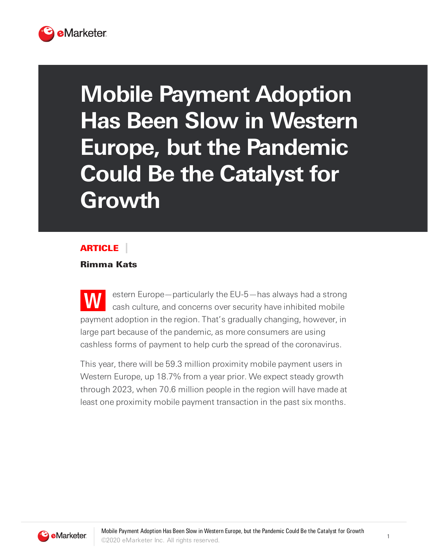

## **Mobile Payment Adoption Has Been Slow in Western Europe, but the Pandemic Could Be the Catalyst for Growth**

## ARTICLE

## Rimma Kats

**W** estern Europe—particularly the EU-5—has always had a strong cash culture, and concerns over security have inhibited mobile payment adoption in the region. That's gradually changing, however, in large part because of the pandemic, as more consumers are using cashless forms of payment to help curb the spread of the coronavirus.

This year, there will be 59.3 million proximity mobile payment users in Western Europe, up 18.7% from a year prior. We expect steady growth through 2023, when 70.6 million people in the region will have made at least one proximity mobile payment transaction in the past six months.

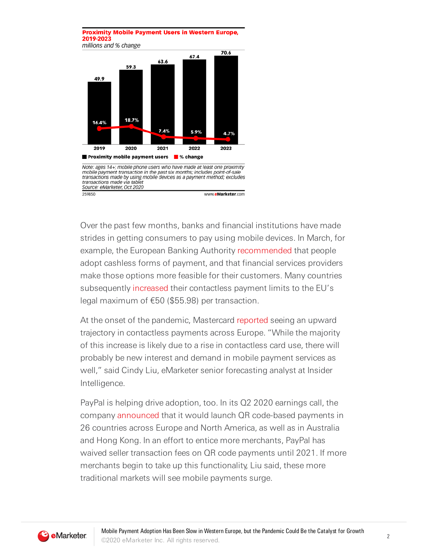## **Proximity Mobile Payment Users in Western Europe,** 2019-2023 millions and % change



Over the past few months, banks and financial institutions have made strides in getting consumers to pay using mobile devices. In March, for example, the European Banking Authority [recommended](https://www.reuters.com/article/us-health-coronavirus-eu-banks/contactless-payments-can-help-cut-contagion-eu-banking-watchdog-idUSKBN21C1BL) that people adopt cashless forms of payment, and that financial services providers make those options more feasible for their customers. Many countries subsequently [increased](https://www.nfcw.com/2020/03/26/366173/table-contactless-payment-transaction-limit-increases-around-the-world/) their contactless payment limits to the EU's legal maximum of €50 (\$55.98) per transaction.

At the onset of the pandemic, Mastercard [reported](https://newsroom.mastercard.com/eu/press-releases/mastercard-enables-contactless-limit-raise-across-29-countries-and-champions-permanent-increase/) seeing an upward trajectory in contactless payments across Europe. "While the majority of this increase is likely due to a rise in contactless card use, there will probably be new interest and demand in mobile payment services as well," said Cindy Liu, eMarketer senior forecasting analyst at Insider Intelligence.

PayPal is helping drive adoption, too. In its Q2 2020 earnings call, the company [announced](https://www.fool.com/earnings/call-transcripts/2020/07/30/paypal-holdings-pypl-q2-2020-earnings-call-transcr.aspx) that it would launch QR code-based payments in 26 countries across Europe and North America, as well as in Australia and Hong Kong. In an effort to entice more merchants, PayPal has waived seller transaction fees on QR code payments until 2021. If more merchants begin to take up this functionality, Liu said, these more traditional markets will see mobile payments surge.